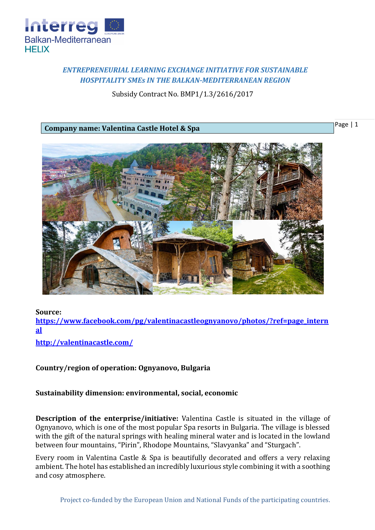

## *ENTREPRENEURIAL LEARNING EXCHANGE INITIATIVE FOR SUSTAINABLE HOSPITALITY SMEs IN THE BALKAN-MEDITERRANEAN REGION*

Subsidy Contract No. BMP1/1.3/2616/2017

**Company name: Valentina Castle Hotel & Spa**

Page | 1



**Source:** 

**[https://www.facebook.com/pg/valentinacastleognyanovo/photos/?ref=page\\_intern](https://www.facebook.com/pg/valentinacastleognyanovo/photos/?ref=page_internal) [al](https://www.facebook.com/pg/valentinacastleognyanovo/photos/?ref=page_internal)**

**<http://valentinacastle.com/>**

## **Country/region of operation: Ognyanovo, Bulgaria**

## **Sustainability dimension: environmental, social, economic**

**Description of the enterprise/initiative:** Valentina Castle is situated in the village of Ognyanovo, which is one of the most popular Spa resorts in Bulgaria. The village is blessed with the gift of the natural springs with healing mineral water and is located in the lowland between four mountains, "Pirin", Rhodope Mountains, "Slavyanka" and "Sturgach".

Every room in Valentina Castle & Spa is beautifully decorated and offers a very relaxing ambient. The hotel has established an incredibly luxurious style combining it with a soothing and cosy atmosphere.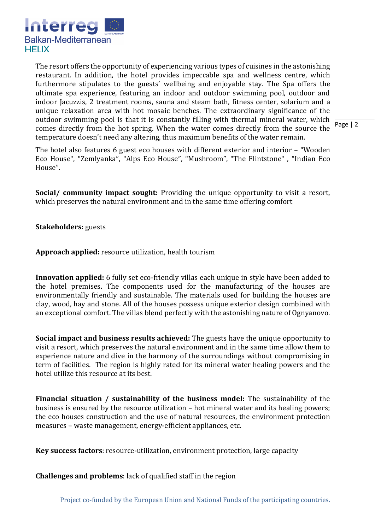

The resort offers the opportunity of experiencing various types of cuisines in the astonishing restaurant. In addition, the hotel provides impeccable spa and wellness centre, which furthermore stipulates to the guests' wellbeing and enjoyable stay. The Spa offers the ultimate spa experience, featuring an indoor and outdoor swimming pool, outdoor and indoor Jacuzzis, 2 treatment rooms, sauna and steam bath, fitness center, solarium and a unique relaxation area with hot mosaic benches. The extraordinary significance of the outdoor swimming pool is that it is constantly filling with thermal mineral water, which comes directly from the hot spring. When the water comes directly from the source the temperature doesn't need any altering, thus maximum benefits of the water remain.

Page | 2

The hotel also features 6 guest eco houses with different exterior and interior – "Wooden Eco House", "Zemlyanka", "Alps Eco House", "Mushroom", "The Flintstone" , "Indian Eco House".

**Social/ community impact sought:** Providing the unique opportunity to visit a resort, which preserves the natural environment and in the same time offering comfort

**Stakeholders:** guests

**Approach applied:** resource utilization, health tourism

**Innovation applied:** 6 fully set eco-friendly villas each unique in style have been added to the hotel premises. The components used for the manufacturing of the houses are environmentally friendly and sustainable. The materials used for building the houses are clay, wood, hay and stone. All of the houses possess unique exterior design combined with an exceptional comfort. The villas blend perfectly with the astonishing nature of Ognyanovo.

**Social impact and business results achieved:** The guests have the unique opportunity to visit a resort, which preserves the natural environment and in the same time allow them to experience nature and dive in the harmony of the surroundings without compromising in term of facilities. The region is highly rated for its mineral water healing powers and the hotel utilize this resource at its best.

**Financial situation / sustainability of the business model:** The sustainability of the business is ensured by the resource utilization – hot mineral water and its healing powers; the eco houses construction and the use of natural resources, the environment protection measures – waste management, energy-efficient appliances, etc.

**Key success factors**: resource-utilization, environment protection, large capacity

**Challenges and problems**: lack of qualified staff in the region